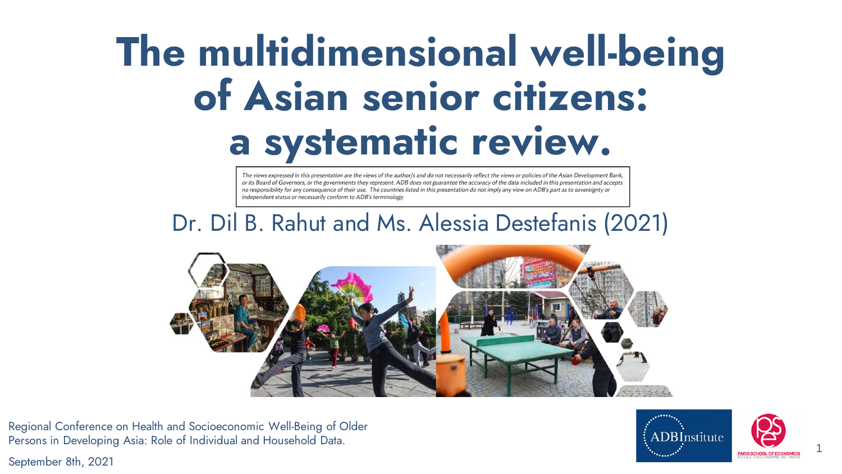### **The multidimensional well-being of Asian senior citizens: a systematic review.**

The views expressed in this presentation are the views of the author/s and do not necessarily reflect the views or policies of the Asian Development Bank. or its Board of Governors, or the governments they represent. ADB does not guarantee the accuracy of the data included in this presentation and accepts no responsibility for any consequence of their use. The countries listed in this presentation do not imply any view on ADB's part as to sovereignty or independent status or necessarily conform to ADB's terminology.

### Dr. Dil B. Rahut and Ms. Alessia Destefanis (2021)



Regional Conference on Health and Socioeconomic Well-Being of Older Persons in Developing Asia: Role of Individual and Household Data.

September 8th, 2021



1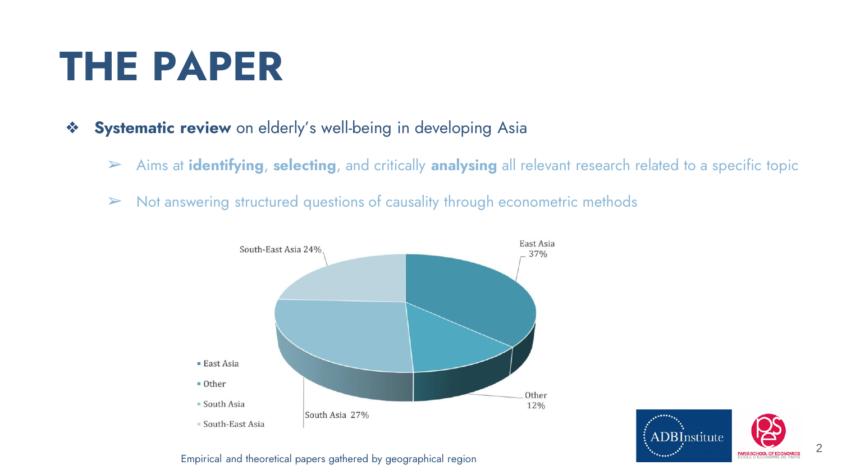### **THE PAPER**

- ❖ **Systematic review** on elderly's well-being in developing Asia
	- ➢ Aims at **identifying**, **selecting**, and critically **analysing** all relevant research related to a specific topic
	- $\triangleright$  Not answering structured questions of causality through econometric methods





#### Empirical and theoretical papers gathered by geographical region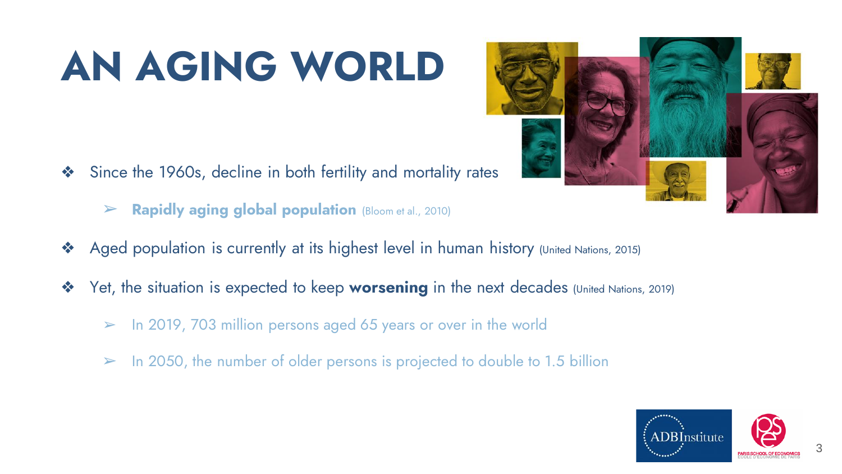## **AN AGING WORLD**

- ❖ Since the 1960s, decline in both fertility and mortality rates
	- ➢ **Rapidly aging global population** (Bloom et al., 2010)
- ❖ Aged population is currently at its highest level in human history (United Nations, 2015)
- ❖ Yet, the situation is expected to keep **worsening** in the next decades (United Nations, 2019)
	- $\triangleright$  In 2019, 703 million persons aged 65 years or over in the world
	- $\geq$  In 2050, the number of older persons is projected to double to 1.5 billion



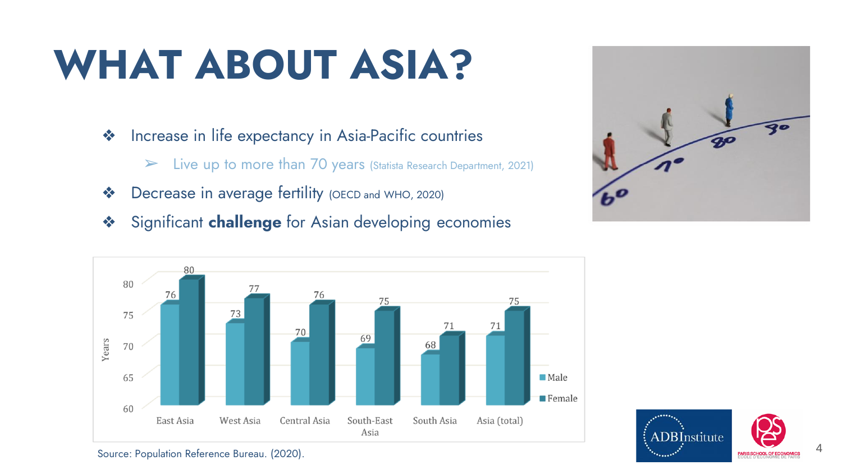### **WHAT ABOUT ASIA?**

- ❖ Increase in life expectancy in Asia-Pacific countries
	- ➢ Live up to more than 70 years (Statista Research Department, 2021)
- ❖ Decrease in average fertility (OECD and WHO, 2020)
- ❖ Significant **challenge** for Asian developing economies







Source: Population Reference Bureau. (2020).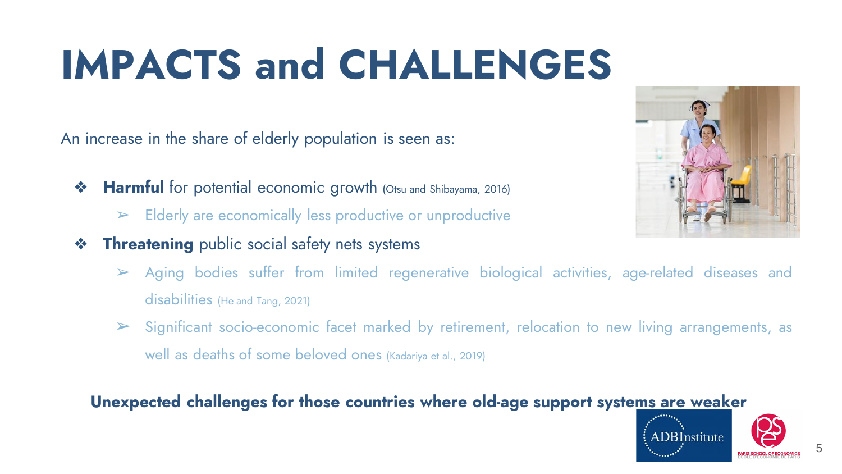## **IMPACTS and CHALLENGES**

An increase in the share of elderly population is seen as:

- **❖ Harmful** for potential economic growth (Otsu and Shibayama, 2016)
	- ➢ Elderly are economically less productive or unproductive
- **❖ Threatening** public social safety nets systems
	- ➢ Aging bodies suffer from limited regenerative biological activities, age-related diseases and disabilities (He and Tang, 2021)
	- $\triangleright$  Significant socio-economic facet marked by retirement, relocation to new living arrangements, as well as deaths of some beloved ones (Kadariya et al., 2019)

#### **Unexpected challenges for those countries where old-age support systems are weaker**



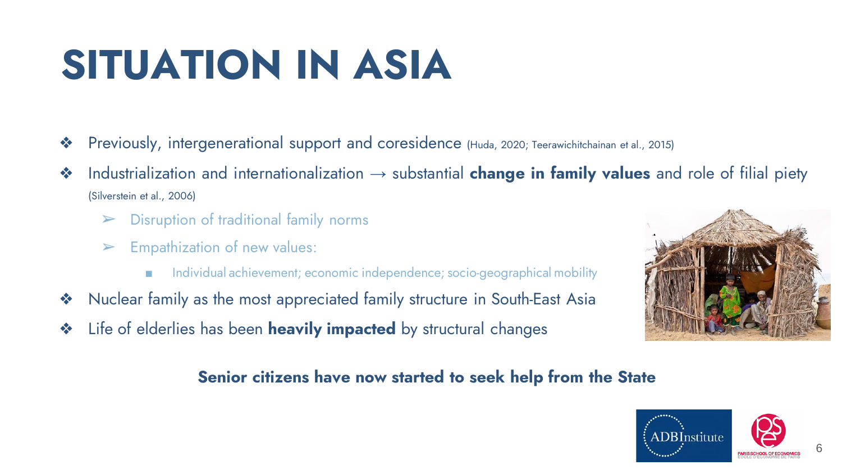### **SITUATION IN ASIA**

- ❖ Previously, intergenerational support and coresidence (Huda, 2020; Teerawichitchainan et al., 2015)
- ❖ Industrialization and internationalization → substantial **change in family values** and role of filial piety (Silverstein et al., 2006)
	- ➢ Disruption of traditional family norms
	- $\triangleright$  Empathization of new values:
		- Individual achievement; economic independence; socio-geographical mobility
- ❖ Nuclear family as the most appreciated family structure in South-East Asia
- ❖ Life of elderlies has been **heavily impacted** by structural changes



#### **Senior citizens have now started to seek help from the State**

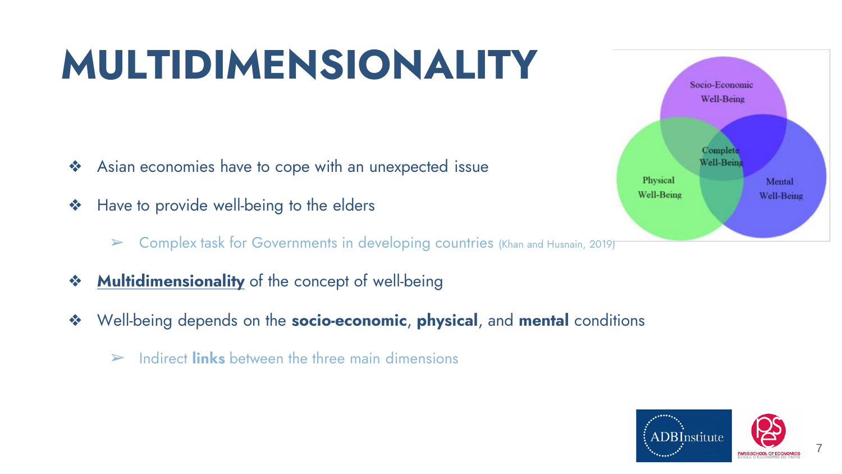### **MULTIDIMENSIONALITY**

- ❖ Asian economies have to cope with an unexpected issue
- ❖ Have to provide well-being to the elders
	- $\triangleright$  Complex task for Governments in developing countries (Khan and Husnain, 2019)
- ❖ **Multidimensionality** of the concept of well-being
- ❖ Well-being depends on the **socio-economic**, **physical**, and **mental** conditions
	- ➢ Indirect **links** between the three main dimensions



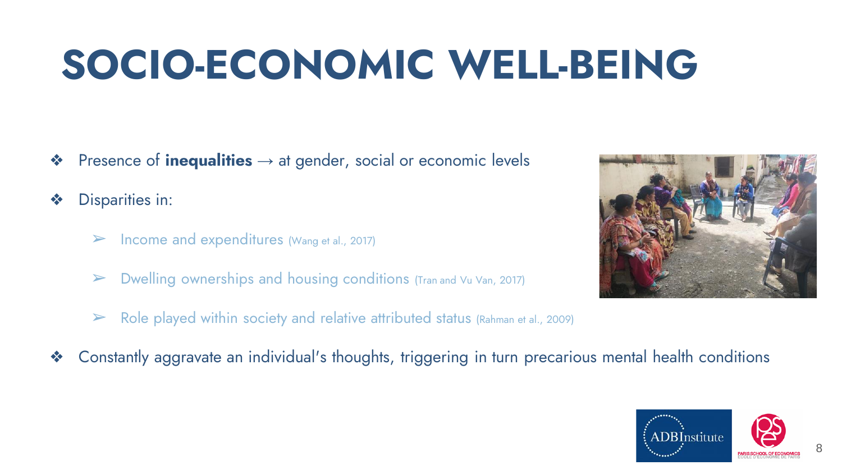### **SOCIO-ECONOMIC WELL-BEING**

❖ Presence of **inequalities** → at gender, social or economic levels

Disparities in:

- $\triangleright$  Income and expenditures (Wang et al., 2017)
- $\triangleright$  Dwelling ownerships and housing conditions (Tran and Vu Van, 2017)
- $\triangleright$  Role played within society and relative attributed status (Rahman et al., 2009)



❖ Constantly aggravate an individual's thoughts, triggering in turn precarious mental health conditions

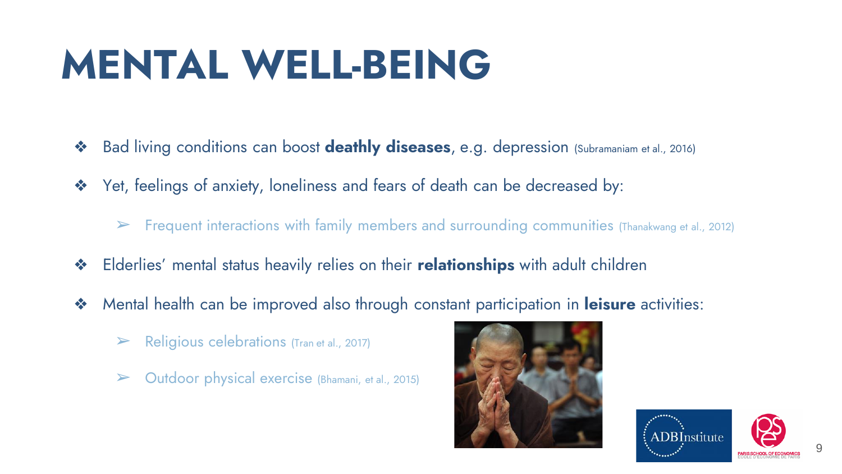### **MENTAL WELL-BEING**

- ❖ Bad living conditions can boost **deathly diseases**, e.g. depression (Subramaniam et al., 2016)
- ❖ Yet, feelings of anxiety, loneliness and fears of death can be decreased by:
	- $\triangleright$  Frequent interactions with family members and surrounding communities (Thanakwang et al., 2012)
- ❖ Elderlies' mental status heavily relies on their **relationships** with adult children
- ❖ Mental health can be improved also through constant participation in **leisure** activities:
	- $\triangleright$  Religious celebrations (Tran et al., 2017)
	- $\triangleright$  Outdoor physical exercise (Bhamani, et al., 2015)



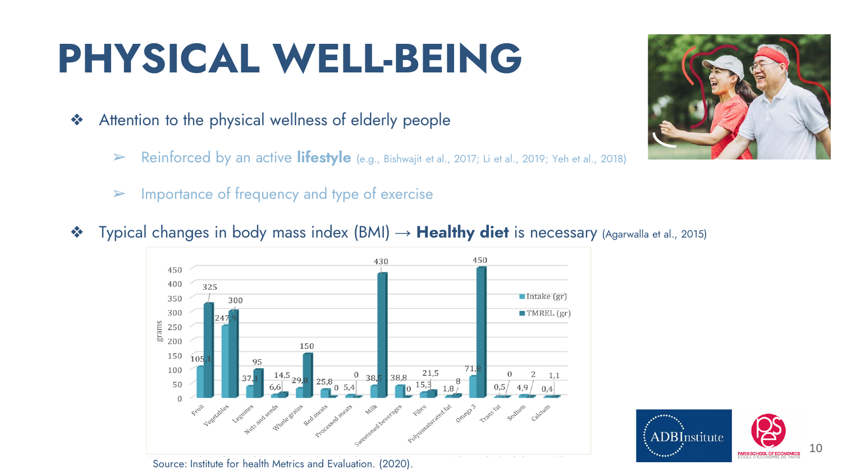### **PHYSICAL WELL-BEING**

- ❖ Attention to the physical wellness of elderly people
	- ➢ Reinforced by an active **lifestyle** (e.g., Bishwajit et al., 2017; Li et al., 2019; Yeh et al., 2018)
	- $\triangleright$  Importance of frequency and type of exercise
- ❖ Typical changes in body mass index (BMI) → **Healthy diet** is necessary (Agarwalla et al., 2015)





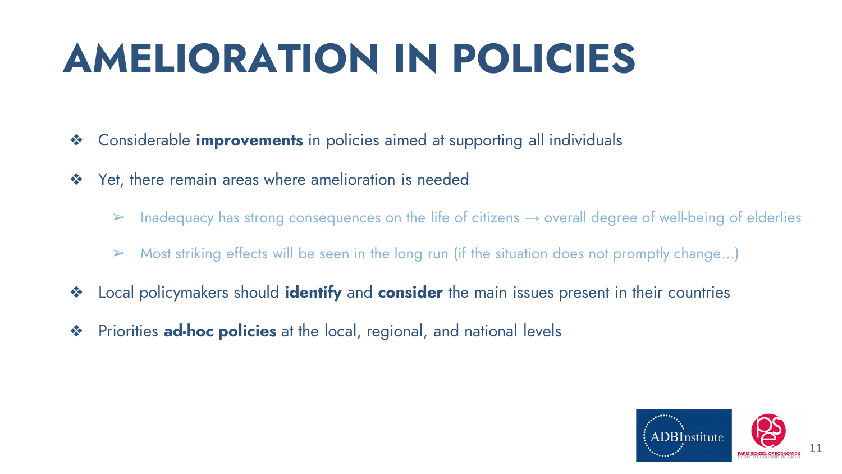### **AMELIORATION IN POLICIES**

- ❖ Considerable **improvements** in policies aimed at supporting all individuals
- ❖ Yet, there remain areas where amelioration is needed
	- $\triangleright$  Inadequacy has strong consequences on the life of citizens  $\rightarrow$  overall degree of well-being of elderlies
	- $\triangleright$  Most striking effects will be seen in the long run (if the situation does not promptly change...)
- ❖ Local policymakers should **identify** and **consider** the main issues present in their countries
- ❖ Priorities **ad-hoc policies** at the local, regional, and national levels

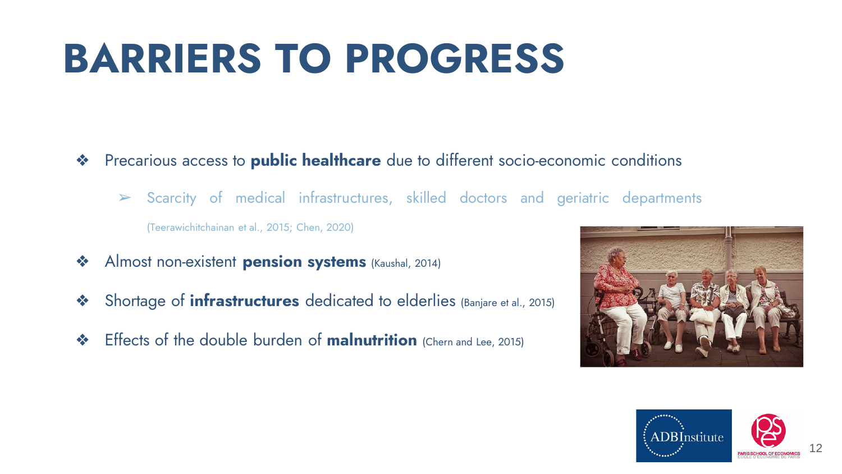### **BARRIERS TO PROGRESS**

- ❖ Precarious access to **public healthcare** due to different socio-economic conditions
	- ➢ Scarcity of medical infrastructures, skilled doctors and geriatric departments (Teerawichitchainan et al., 2015; Chen, 2020)
- ❖ Almost non-existent **pension systems** (Kaushal, 2014)
- ❖ Shortage of **infrastructures** dedicated to elderlies (Banjare et al., 2015)
- ❖ Effects of the double burden of **malnutrition** (Chern and Lee, 2015)



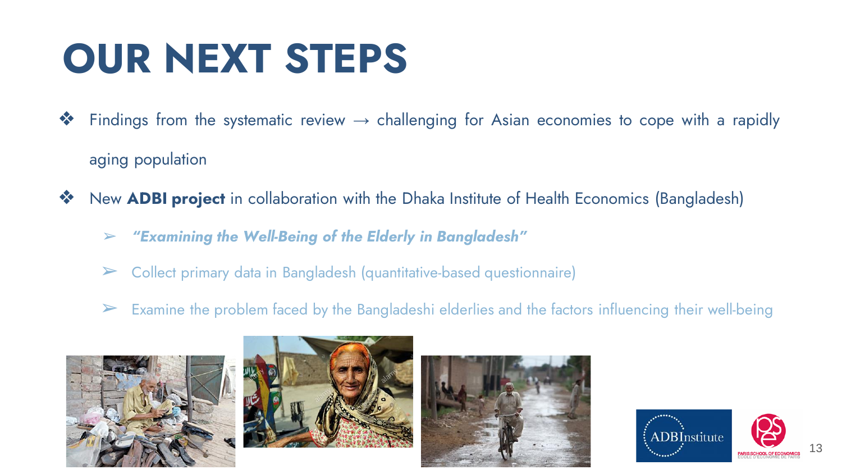### **OUR NEXT STEPS**

- $\clubsuit$  Findings from the systematic review  $\rightarrow$  challenging for Asian economies to cope with a rapidly aging population
- ❖ New **ADBI project** in collaboration with the Dhaka Institute of Health Economics (Bangladesh)
	- ➢ *"Examining the Well-Being of the Elderly in Bangladesh"*
	- ➢ Collect primary data in Bangladesh (quantitative-based questionnaire)
	- $\triangleright$  Examine the problem faced by the Bangladeshi elderlies and the factors influencing their well-being